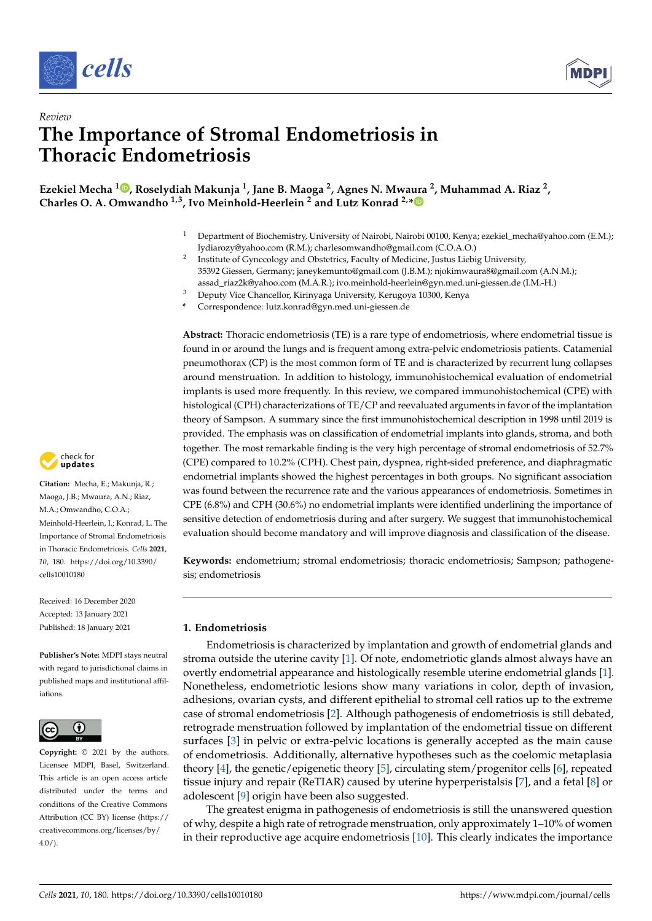



# *Review* **The Importance of Stromal Endometriosis in Thoracic Endometriosis**

**Ezekiel Mecha <sup>1</sup> [,](https://orcid.org/0000-0002-0049-5336) Roselydiah Makunja <sup>1</sup> , Jane B. Maoga <sup>2</sup> , Agnes N. Mwaura <sup>2</sup> , Muhammad A. Riaz <sup>2</sup> , Charles O. A. Omwandho 1,3, Ivo Meinhold-Heerlein <sup>2</sup> and Lutz Konrad 2,[\\*](https://orcid.org/0000-0001-5878-3050)**

- <sup>1</sup> Department of Biochemistry, University of Nairobi, Nairobi 00100, Kenya; ezekiel\_mecha@yahoo.com (E.M.); lydiarozy@yahoo.com (R.M.); charlesomwandho@gmail.com (C.O.A.O.)
- 2 Institute of Gynecology and Obstetrics, Faculty of Medicine, Justus Liebig University, 35392 Giessen, Germany; janeykemunto@gmail.com (J.B.M.); njokimwaura8@gmail.com (A.N.M.); assad\_riaz2k@yahoo.com (M.A.R.); ivo.meinhold-heerlein@gyn.med.uni-giessen.de (I.M.-H.)
- $\frac{1}{3}$  Deputy Vice Chancellor, Kirinyaga University, Kerugoya 10300, Kenya
- **\*** Correspondence: lutz.konrad@gyn.med.uni-giessen.de

**Abstract:** Thoracic endometriosis (TE) is a rare type of endometriosis, where endometrial tissue is found in or around the lungs and is frequent among extra-pelvic endometriosis patients. Catamenial pneumothorax (CP) is the most common form of TE and is characterized by recurrent lung collapses around menstruation. In addition to histology, immunohistochemical evaluation of endometrial implants is used more frequently. In this review, we compared immunohistochemical (CPE) with histological (CPH) characterizations of TE/CP and reevaluated arguments in favor of the implantation theory of Sampson. A summary since the first immunohistochemical description in 1998 until 2019 is provided. The emphasis was on classification of endometrial implants into glands, stroma, and both together. The most remarkable finding is the very high percentage of stromal endometriosis of 52.7% (CPE) compared to 10.2% (CPH). Chest pain, dyspnea, right-sided preference, and diaphragmatic endometrial implants showed the highest percentages in both groups. No significant association was found between the recurrence rate and the various appearances of endometriosis. Sometimes in CPE (6.8%) and CPH (30.6%) no endometrial implants were identified underlining the importance of sensitive detection of endometriosis during and after surgery. We suggest that immunohistochemical evaluation should become mandatory and will improve diagnosis and classification of the disease.

**Keywords:** endometrium; stromal endometriosis; thoracic endometriosis; Sampson; pathogenesis; endometriosis

# **1. Endometriosis**

Endometriosis is characterized by implantation and growth of endometrial glands and stroma outside the uterine cavity [\[1\]](#page-9-0). Of note, endometriotic glands almost always have an overtly endometrial appearance and histologically resemble uterine endometrial glands [\[1\]](#page-9-0). Nonetheless, endometriotic lesions show many variations in color, depth of invasion, adhesions, ovarian cysts, and different epithelial to stromal cell ratios up to the extreme case of stromal endometriosis [\[2\]](#page-9-1). Although pathogenesis of endometriosis is still debated, retrograde menstruation followed by implantation of the endometrial tissue on different surfaces [\[3\]](#page-9-2) in pelvic or extra-pelvic locations is generally accepted as the main cause of endometriosis. Additionally, alternative hypotheses such as the coelomic metaplasia theory [\[4\]](#page-9-3), the genetic/epigenetic theory [\[5\]](#page-9-4), circulating stem/progenitor cells [\[6\]](#page-9-5), repeated tissue injury and repair (ReTIAR) caused by uterine hyperperistalsis [\[7\]](#page-9-6), and a fetal [\[8\]](#page-9-7) or adolescent [\[9\]](#page-9-8) origin have been also suggested.

The greatest enigma in pathogenesis of endometriosis is still the unanswered question of why, despite a high rate of retrograde menstruation, only approximately 1–10% of women in their reproductive age acquire endometriosis [\[10\]](#page-9-9). This clearly indicates the importance



**Citation:** Mecha, E.; Makunja, R.; Maoga, J.B.; Mwaura, A.N.; Riaz, M.A.; Omwandho, C.O.A.; Meinhold-Heerlein, I.; Konrad, L. The Importance of Stromal Endometriosis in Thoracic Endometriosis. *Cells* **2021**, *10*, 180. [https://doi.org/10.3390/](https://doi.org/10.3390/cells10010180) [cells10010180](https://doi.org/10.3390/cells10010180)

Received: 16 December 2020 Accepted: 13 January 2021 Published: 18 January 2021

**Publisher's Note:** MDPI stays neutral with regard to jurisdictional claims in published maps and institutional affiliations.



**Copyright:** © 2021 by the authors. Licensee MDPI, Basel, Switzerland. This article is an open access article distributed under the terms and conditions of the Creative Commons Attribution (CC BY) license (https:/[/](https://creativecommons.org/licenses/by/4.0/) [creativecommons.org/licenses/by/](https://creativecommons.org/licenses/by/4.0/)  $4.0/$ ).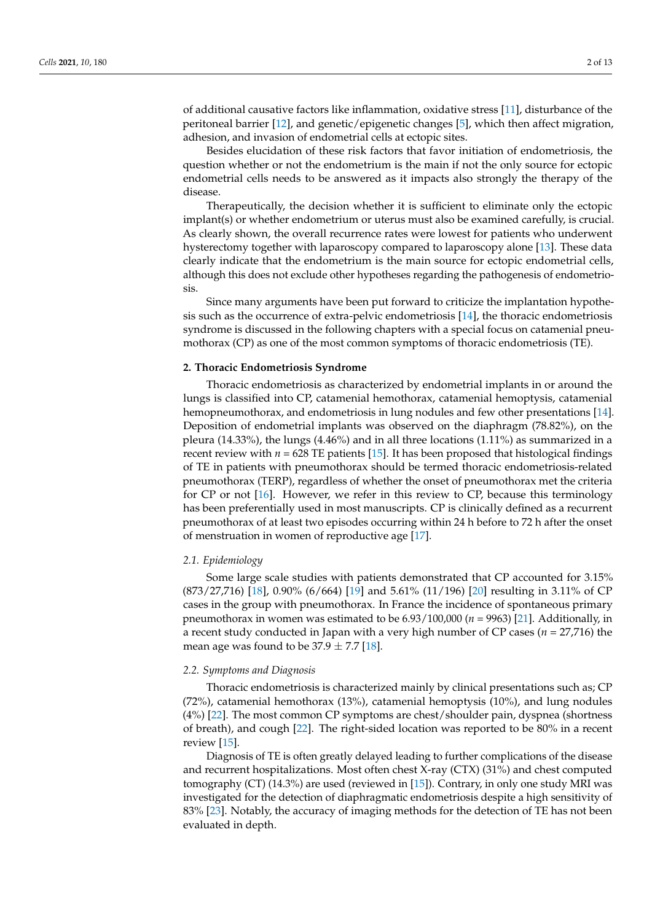of additional causative factors like inflammation, oxidative stress [\[11\]](#page-9-10), disturbance of the peritoneal barrier [\[12\]](#page-9-11), and genetic/epigenetic changes [\[5\]](#page-9-4), which then affect migration, adhesion, and invasion of endometrial cells at ectopic sites.

Besides elucidation of these risk factors that favor initiation of endometriosis, the question whether or not the endometrium is the main if not the only source for ectopic endometrial cells needs to be answered as it impacts also strongly the therapy of the disease.

Therapeutically, the decision whether it is sufficient to eliminate only the ectopic implant(s) or whether endometrium or uterus must also be examined carefully, is crucial. As clearly shown, the overall recurrence rates were lowest for patients who underwent hysterectomy together with laparoscopy compared to laparoscopy alone [\[13\]](#page-9-12). These data clearly indicate that the endometrium is the main source for ectopic endometrial cells, although this does not exclude other hypotheses regarding the pathogenesis of endometriosis.

Since many arguments have been put forward to criticize the implantation hypothesis such as the occurrence of extra-pelvic endometriosis [\[14\]](#page-9-13), the thoracic endometriosis syndrome is discussed in the following chapters with a special focus on catamenial pneumothorax (CP) as one of the most common symptoms of thoracic endometriosis (TE).

# **2. Thoracic Endometriosis Syndrome**

Thoracic endometriosis as characterized by endometrial implants in or around the lungs is classified into CP, catamenial hemothorax, catamenial hemoptysis, catamenial hemopneumothorax, and endometriosis in lung nodules and few other presentations [\[14\]](#page-9-13). Deposition of endometrial implants was observed on the diaphragm (78.82%), on the pleura (14.33%), the lungs (4.46%) and in all three locations (1.11%) as summarized in a recent review with  $n = 628$  TE patients [\[15\]](#page-9-14). It has been proposed that histological findings of TE in patients with pneumothorax should be termed thoracic endometriosis-related pneumothorax (TERP), regardless of whether the onset of pneumothorax met the criteria for CP or not [\[16\]](#page-9-15). However, we refer in this review to CP, because this terminology has been preferentially used in most manuscripts. CP is clinically defined as a recurrent pneumothorax of at least two episodes occurring within 24 h before to 72 h after the onset of menstruation in women of reproductive age [\[17\]](#page-9-16).

### *2.1. Epidemiology*

Some large scale studies with patients demonstrated that CP accounted for 3.15% (873/27,716) [\[18\]](#page-9-17), 0.90% (6/664) [\[19\]](#page-9-18) and 5.61% (11/196) [\[20\]](#page-9-19) resulting in 3.11% of CP cases in the group with pneumothorax. In France the incidence of spontaneous primary pneumothorax in women was estimated to be  $6.93/100,000$  ( $n = 9963$ ) [\[21\]](#page-9-20). Additionally, in a recent study conducted in Japan with a very high number of CP cases (*n* = 27,716) the mean age was found to be  $37.9 \pm 7.7$  [\[18\]](#page-9-17).

#### *2.2. Symptoms and Diagnosis*

Thoracic endometriosis is characterized mainly by clinical presentations such as; CP (72%), catamenial hemothorax (13%), catamenial hemoptysis (10%), and lung nodules (4%) [\[22\]](#page-9-21). The most common CP symptoms are chest/shoulder pain, dyspnea (shortness of breath), and cough [\[22\]](#page-9-21). The right-sided location was reported to be 80% in a recent review [\[15\]](#page-9-14).

Diagnosis of TE is often greatly delayed leading to further complications of the disease and recurrent hospitalizations. Most often chest X-ray (CTX) (31%) and chest computed tomography (CT) (14.3%) are used (reviewed in [\[15\]](#page-9-14)). Contrary, in only one study MRI was investigated for the detection of diaphragmatic endometriosis despite a high sensitivity of 83% [\[23\]](#page-9-22). Notably, the accuracy of imaging methods for the detection of TE has not been evaluated in depth.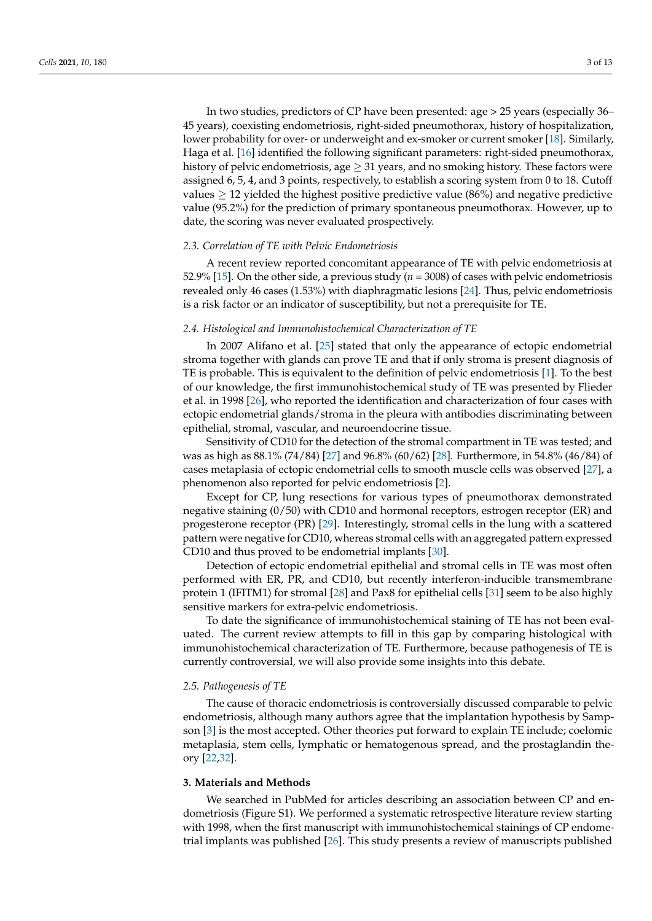In two studies, predictors of CP have been presented: age > 25 years (especially 36– 45 years), coexisting endometriosis, right-sided pneumothorax, history of hospitalization, lower probability for over- or underweight and ex-smoker or current smoker [\[18\]](#page-9-17). Similarly, Haga et al. [\[16\]](#page-9-15) identified the following significant parameters: right-sided pneumothorax, history of pelvic endometriosis, age  $\geq$  31 years, and no smoking history. These factors were assigned 6, 5, 4, and 3 points, respectively, to establish a scoring system from 0 to 18. Cutoff values  $\geq$  12 yielded the highest positive predictive value (86%) and negative predictive value (95.2%) for the prediction of primary spontaneous pneumothorax. However, up to date, the scoring was never evaluated prospectively.

## *2.3. Correlation of TE with Pelvic Endometriosis*

A recent review reported concomitant appearance of TE with pelvic endometriosis at 52.9% [\[15\]](#page-9-14). On the other side, a previous study ( $n = 3008$ ) of cases with pelvic endometriosis revealed only 46 cases (1.53%) with diaphragmatic lesions [\[24\]](#page-9-23). Thus, pelvic endometriosis is a risk factor or an indicator of susceptibility, but not a prerequisite for TE.

## *2.4. Histological and Immunohistochemical Characterization of TE*

In 2007 Alifano et al. [\[25\]](#page-9-24) stated that only the appearance of ectopic endometrial stroma together with glands can prove TE and that if only stroma is present diagnosis of TE is probable. This is equivalent to the definition of pelvic endometriosis [\[1\]](#page-9-0). To the best of our knowledge, the first immunohistochemical study of TE was presented by Flieder et al. in 1998 [\[26\]](#page-9-25), who reported the identification and characterization of four cases with ectopic endometrial glands/stroma in the pleura with antibodies discriminating between epithelial, stromal, vascular, and neuroendocrine tissue.

Sensitivity of CD10 for the detection of the stromal compartment in TE was tested; and was as high as 88.1% (74/84) [\[27\]](#page-9-26) and 96.8% (60/62) [\[28\]](#page-10-0). Furthermore, in 54.8% (46/84) of cases metaplasia of ectopic endometrial cells to smooth muscle cells was observed [\[27\]](#page-9-26), a phenomenon also reported for pelvic endometriosis [\[2\]](#page-9-1).

Except for CP, lung resections for various types of pneumothorax demonstrated negative staining (0/50) with CD10 and hormonal receptors, estrogen receptor (ER) and progesterone receptor (PR) [\[29\]](#page-10-1). Interestingly, stromal cells in the lung with a scattered pattern were negative for CD10, whereas stromal cells with an aggregated pattern expressed CD10 and thus proved to be endometrial implants [\[30\]](#page-10-2).

Detection of ectopic endometrial epithelial and stromal cells in TE was most often performed with ER, PR, and CD10, but recently interferon-inducible transmembrane protein 1 (IFITM1) for stromal [\[28\]](#page-10-0) and Pax8 for epithelial cells [\[31\]](#page-10-3) seem to be also highly sensitive markers for extra-pelvic endometriosis.

To date the significance of immunohistochemical staining of TE has not been evaluated. The current review attempts to fill in this gap by comparing histological with immunohistochemical characterization of TE. Furthermore, because pathogenesis of TE is currently controversial, we will also provide some insights into this debate.

#### *2.5. Pathogenesis of TE*

The cause of thoracic endometriosis is controversially discussed comparable to pelvic endometriosis, although many authors agree that the implantation hypothesis by Sampson [\[3\]](#page-9-2) is the most accepted. Other theories put forward to explain TE include; coelomic metaplasia, stem cells, lymphatic or hematogenous spread, and the prostaglandin theory [\[22](#page-9-21)[,32\]](#page-10-4).

## **3. Materials and Methods**

We searched in PubMed for articles describing an association between CP and endometriosis (Figure S1). We performed a systematic retrospective literature review starting with 1998, when the first manuscript with immunohistochemical stainings of CP endometrial implants was published [\[26\]](#page-9-25). This study presents a review of manuscripts published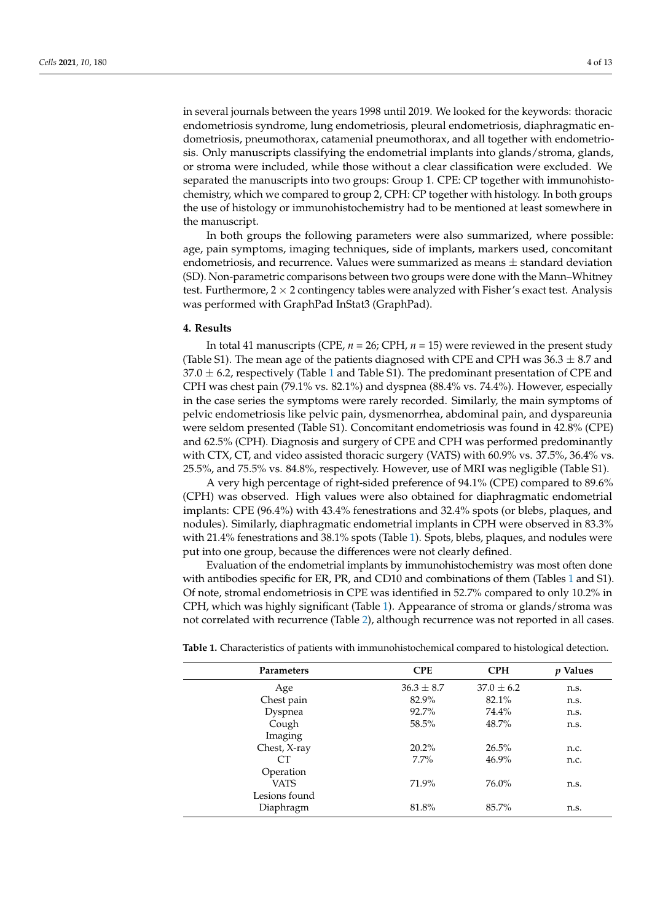in several journals between the years 1998 until 2019. We looked for the keywords: thoracic endometriosis syndrome, lung endometriosis, pleural endometriosis, diaphragmatic endometriosis, pneumothorax, catamenial pneumothorax, and all together with endometriosis. Only manuscripts classifying the endometrial implants into glands/stroma, glands, or stroma were included, while those without a clear classification were excluded. We separated the manuscripts into two groups: Group 1. CPE: CP together with immunohistochemistry, which we compared to group 2, CPH: CP together with histology. In both groups the use of histology or immunohistochemistry had to be mentioned at least somewhere in the manuscript.

In both groups the following parameters were also summarized, where possible: age, pain symptoms, imaging techniques, side of implants, markers used, concomitant endometriosis, and recurrence. Values were summarized as means  $\pm$  standard deviation (SD). Non-parametric comparisons between two groups were done with the Mann–Whitney test. Furthermore,  $2 \times 2$  contingency tables were analyzed with Fisher's exact test. Analysis was performed with GraphPad InStat3 (GraphPad).

# **4. Results**

In total 41 manuscripts (CPE, *n* = 26; CPH, *n* = 15) were reviewed in the present study (Table S1). The mean age of the patients diagnosed with CPE and CPH was  $36.3 \pm 8.7$  and  $37.0 \pm 6.2$ , respectively (Table [1](#page-3-0) and Table S1). The predominant presentation of CPE and CPH was chest pain (79.1% vs. 82.1%) and dyspnea (88.4% vs. 74.4%). However, especially in the case series the symptoms were rarely recorded. Similarly, the main symptoms of pelvic endometriosis like pelvic pain, dysmenorrhea, abdominal pain, and dyspareunia were seldom presented (Table S1). Concomitant endometriosis was found in 42.8% (CPE) and 62.5% (CPH). Diagnosis and surgery of CPE and CPH was performed predominantly with CTX, CT, and video assisted thoracic surgery (VATS) with 60.9% vs. 37.5%, 36.4% vs. 25.5%, and 75.5% vs. 84.8%, respectively. However, use of MRI was negligible (Table S1).

A very high percentage of right-sided preference of 94.1% (CPE) compared to 89.6% (CPH) was observed. High values were also obtained for diaphragmatic endometrial implants: CPE (96.4%) with 43.4% fenestrations and 32.4% spots (or blebs, plaques, and nodules). Similarly, diaphragmatic endometrial implants in CPH were observed in 83.3% with 21.4% fenestrations and 38.1% spots (Table [1\)](#page-3-0). Spots, blebs, plaques, and nodules were put into one group, because the differences were not clearly defined.

Evaluation of the endometrial implants by immunohistochemistry was most often done with antibodies specific for ER, PR, and CD10 and combinations of them (Tables [1](#page-3-0) and S1). Of note, stromal endometriosis in CPE was identified in 52.7% compared to only 10.2% in CPH, which was highly significant (Table [1\)](#page-3-0). Appearance of stroma or glands/stroma was not correlated with recurrence (Table [2\)](#page-4-0), although recurrence was not reported in all cases.

| Parameters    | <b>CPE</b>     | <b>CPH</b>     | <i>p</i> Values |
|---------------|----------------|----------------|-----------------|
| Age           | $36.3 \pm 8.7$ | $37.0 \pm 6.2$ | n.s.            |
| Chest pain    | 82.9%          | 82.1%          | n.s.            |
| Dyspnea       | 92.7%          | 74.4%          | n.s.            |
| Cough         | 58.5%          | 48.7%          | n.s.            |
| Imaging       |                |                |                 |
| Chest, X-ray  | 20.2%          | 26.5%          | n.c.            |
| CТ            | $7.7\%$        | $46.9\%$       | n.c.            |
| Operation     |                |                |                 |
| <b>VATS</b>   | 71.9%          | 76.0%          | n.s.            |
| Lesions found |                |                |                 |
| Diaphragm     | 81.8%          | 85.7%          | n.s.            |

<span id="page-3-0"></span>**Table 1.** Characteristics of patients with immunohistochemical compared to histological detection.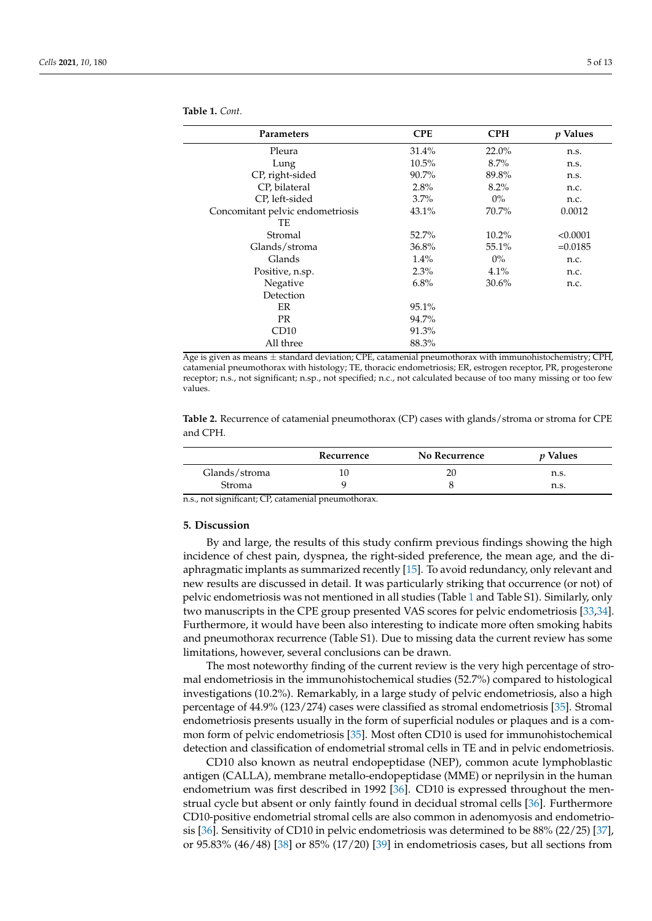| Parameters                       | <b>CPE</b> | <b>CPH</b> | <i>p</i> Values |
|----------------------------------|------------|------------|-----------------|
| Pleura                           | 31.4%      | 22.0%      | n.s.            |
| Lung                             | $10.5\%$   | $8.7\%$    | n.s.            |
| CP, right-sided                  | 90.7%      | 89.8%      | n.s.            |
| CP, bilateral                    | 2.8%       | $8.2\%$    | n.c.            |
| CP, left-sided                   | $3.7\%$    | $0\%$      | n.c.            |
| Concomitant pelvic endometriosis | 43.1%      | 70.7%      | 0.0012          |
| TE                               |            |            |                 |
| Stromal                          | 52.7%      | $10.2\%$   | < 0.0001        |
| Glands/stroma                    | 36.8%      | 55.1%      | $=0.0185$       |
| Glands                           | $1.4\%$    | $0\%$      | n.c.            |
| Positive, n.sp.                  | $2.3\%$    | 4.1%       | n.c.            |
| Negative                         | 6.8%       | 30.6%      | n.c.            |
| Detection                        |            |            |                 |
| ER                               | 95.1%      |            |                 |
| PR.                              | 94.7%      |            |                 |
| CD10                             | 91.3%      |            |                 |
| All three                        | 88.3%      |            |                 |

Age is given as means  $\pm$  standard deviation; CPE, catamenial pneumothorax with immunohistochemistry; CPH, catamenial pneumothorax with histology; TE, thoracic endometriosis; ER, estrogen receptor, PR, progesterone receptor; n.s., not significant; n.sp., not specified; n.c., not calculated because of too many missing or too few

<span id="page-4-0"></span>**Table 2.** Recurrence of catamenial pneumothorax (CP) cases with glands/stroma or stroma for CPE and CPH.

|               | Recurrence | No Recurrence | <i>v</i> Values |
|---------------|------------|---------------|-----------------|
| Glands/stroma | 10         | 20            | n.s.            |
| Stroma        |            |               | n.s.            |

n.s., not significant; CP, catamenial pneumothorax.

### **5. Discussion**

values.

**Table 1.** *Cont.*

By and large, the results of this study confirm previous findings showing the high incidence of chest pain, dyspnea, the right-sided preference, the mean age, and the diaphragmatic implants as summarized recently [\[15\]](#page-9-14). To avoid redundancy, only relevant and new results are discussed in detail. It was particularly striking that occurrence (or not) of pelvic endometriosis was not mentioned in all studies (Table [1](#page-3-0) and Table S1). Similarly, only two manuscripts in the CPE group presented VAS scores for pelvic endometriosis [\[33,](#page-10-5)[34\]](#page-10-6). Furthermore, it would have been also interesting to indicate more often smoking habits and pneumothorax recurrence (Table S1). Due to missing data the current review has some limitations, however, several conclusions can be drawn.

The most noteworthy finding of the current review is the very high percentage of stromal endometriosis in the immunohistochemical studies (52.7%) compared to histological investigations (10.2%). Remarkably, in a large study of pelvic endometriosis, also a high percentage of 44.9% (123/274) cases were classified as stromal endometriosis [\[35\]](#page-10-7). Stromal endometriosis presents usually in the form of superficial nodules or plaques and is a common form of pelvic endometriosis [\[35\]](#page-10-7). Most often CD10 is used for immunohistochemical detection and classification of endometrial stromal cells in TE and in pelvic endometriosis.

CD10 also known as neutral endopeptidase (NEP), common acute lymphoblastic antigen (CALLA), membrane metallo-endopeptidase (MME) or neprilysin in the human endometrium was first described in 1992 [\[36\]](#page-10-8). CD10 is expressed throughout the menstrual cycle but absent or only faintly found in decidual stromal cells [\[36\]](#page-10-8). Furthermore CD10-positive endometrial stromal cells are also common in adenomyosis and endometriosis [\[36\]](#page-10-8). Sensitivity of CD10 in pelvic endometriosis was determined to be 88% (22/25) [\[37\]](#page-10-9), or 95.83% (46/48) [\[38\]](#page-10-10) or 85% (17/20) [\[39\]](#page-10-11) in endometriosis cases, but all sections from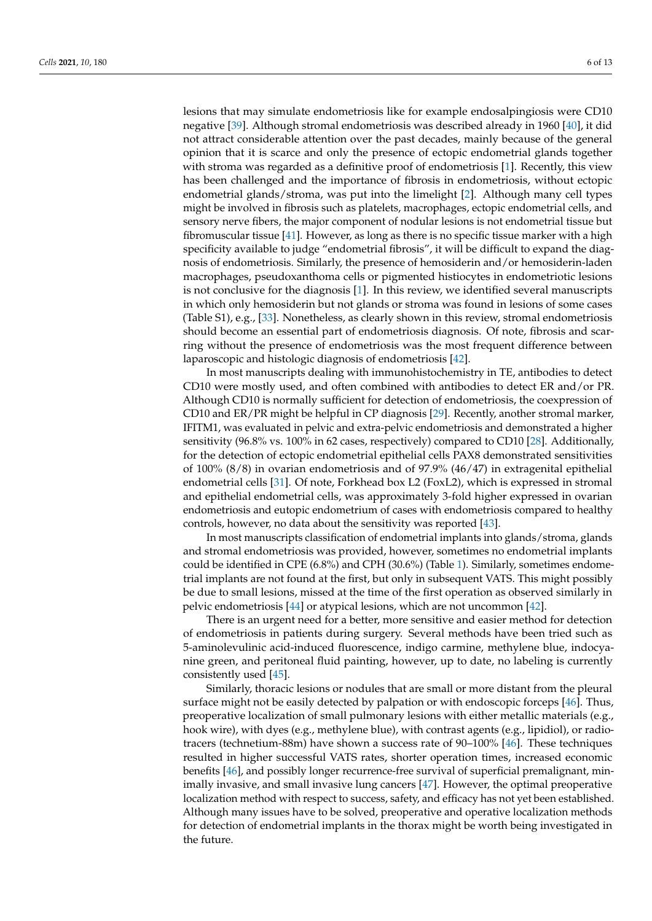lesions that may simulate endometriosis like for example endosalpingiosis were CD10 negative [\[39\]](#page-10-11). Although stromal endometriosis was described already in 1960 [\[40\]](#page-10-12), it did not attract considerable attention over the past decades, mainly because of the general opinion that it is scarce and only the presence of ectopic endometrial glands together with stroma was regarded as a definitive proof of endometriosis [\[1\]](#page-9-0). Recently, this view has been challenged and the importance of fibrosis in endometriosis, without ectopic endometrial glands/stroma, was put into the limelight [\[2\]](#page-9-1). Although many cell types might be involved in fibrosis such as platelets, macrophages, ectopic endometrial cells, and sensory nerve fibers, the major component of nodular lesions is not endometrial tissue but fibromuscular tissue [\[41\]](#page-10-13). However, as long as there is no specific tissue marker with a high specificity available to judge "endometrial fibrosis", it will be difficult to expand the diagnosis of endometriosis. Similarly, the presence of hemosiderin and/or hemosiderin-laden macrophages, pseudoxanthoma cells or pigmented histiocytes in endometriotic lesions is not conclusive for the diagnosis [\[1\]](#page-9-0). In this review, we identified several manuscripts in which only hemosiderin but not glands or stroma was found in lesions of some cases (Table S1), e.g., [\[33\]](#page-10-5). Nonetheless, as clearly shown in this review, stromal endometriosis should become an essential part of endometriosis diagnosis. Of note, fibrosis and scarring without the presence of endometriosis was the most frequent difference between laparoscopic and histologic diagnosis of endometriosis [\[42\]](#page-10-14).

In most manuscripts dealing with immunohistochemistry in TE, antibodies to detect CD10 were mostly used, and often combined with antibodies to detect ER and/or PR. Although CD10 is normally sufficient for detection of endometriosis, the coexpression of CD10 and ER/PR might be helpful in CP diagnosis [\[29\]](#page-10-1). Recently, another stromal marker, IFITM1, was evaluated in pelvic and extra-pelvic endometriosis and demonstrated a higher sensitivity (96.8% vs. 100% in 62 cases, respectively) compared to CD10 [\[28\]](#page-10-0). Additionally, for the detection of ectopic endometrial epithelial cells PAX8 demonstrated sensitivities of 100% (8/8) in ovarian endometriosis and of 97.9% (46/47) in extragenital epithelial endometrial cells [\[31\]](#page-10-3). Of note, Forkhead box L2 (FoxL2), which is expressed in stromal and epithelial endometrial cells, was approximately 3-fold higher expressed in ovarian endometriosis and eutopic endometrium of cases with endometriosis compared to healthy controls, however, no data about the sensitivity was reported [\[43\]](#page-10-15).

In most manuscripts classification of endometrial implants into glands/stroma, glands and stromal endometriosis was provided, however, sometimes no endometrial implants could be identified in CPE (6.8%) and CPH (30.6%) (Table [1\)](#page-3-0). Similarly, sometimes endometrial implants are not found at the first, but only in subsequent VATS. This might possibly be due to small lesions, missed at the time of the first operation as observed similarly in pelvic endometriosis [\[44\]](#page-10-16) or atypical lesions, which are not uncommon [\[42\]](#page-10-14).

There is an urgent need for a better, more sensitive and easier method for detection of endometriosis in patients during surgery. Several methods have been tried such as 5-aminolevulinic acid-induced fluorescence, indigo carmine, methylene blue, indocyanine green, and peritoneal fluid painting, however, up to date, no labeling is currently consistently used [\[45\]](#page-10-17).

Similarly, thoracic lesions or nodules that are small or more distant from the pleural surface might not be easily detected by palpation or with endoscopic forceps [\[46\]](#page-10-18). Thus, preoperative localization of small pulmonary lesions with either metallic materials (e.g., hook wire), with dyes (e.g., methylene blue), with contrast agents (e.g., lipidiol), or radiotracers (technetium-88m) have shown a success rate of 90–100% [\[46\]](#page-10-18). These techniques resulted in higher successful VATS rates, shorter operation times, increased economic benefits [\[46\]](#page-10-18), and possibly longer recurrence-free survival of superficial premalignant, minimally invasive, and small invasive lung cancers [\[47\]](#page-10-19). However, the optimal preoperative localization method with respect to success, safety, and efficacy has not yet been established. Although many issues have to be solved, preoperative and operative localization methods for detection of endometrial implants in the thorax might be worth being investigated in the future.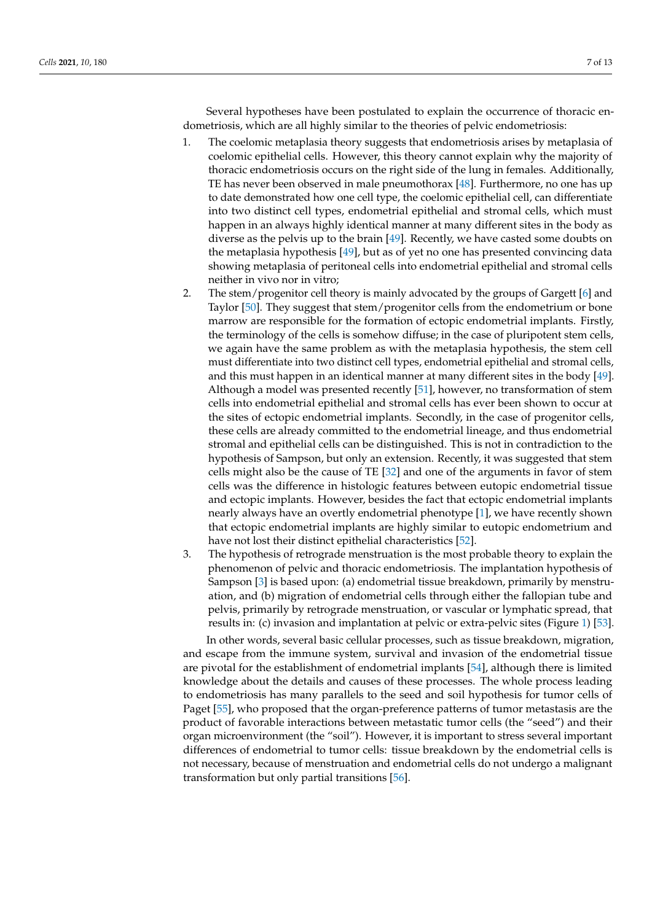Several hypotheses have been postulated to explain the occurrence of thoracic endometriosis, which are all highly similar to the theories of pelvic endometriosis:

- 1. The coelomic metaplasia theory suggests that endometriosis arises by metaplasia of coelomic epithelial cells. However, this theory cannot explain why the majority of thoracic endometriosis occurs on the right side of the lung in females. Additionally, TE has never been observed in male pneumothorax [\[48\]](#page-10-20). Furthermore, no one has up to date demonstrated how one cell type, the coelomic epithelial cell, can differentiate into two distinct cell types, endometrial epithelial and stromal cells, which must happen in an always highly identical manner at many different sites in the body as diverse as the pelvis up to the brain [\[49\]](#page-10-21). Recently, we have casted some doubts on the metaplasia hypothesis [\[49\]](#page-10-21), but as of yet no one has presented convincing data showing metaplasia of peritoneal cells into endometrial epithelial and stromal cells neither in vivo nor in vitro;
- 2. The stem/progenitor cell theory is mainly advocated by the groups of Gargett [\[6\]](#page-9-5) and Taylor [\[50\]](#page-10-22). They suggest that stem/progenitor cells from the endometrium or bone marrow are responsible for the formation of ectopic endometrial implants. Firstly, the terminology of the cells is somehow diffuse; in the case of pluripotent stem cells, we again have the same problem as with the metaplasia hypothesis, the stem cell must differentiate into two distinct cell types, endometrial epithelial and stromal cells, and this must happen in an identical manner at many different sites in the body [\[49\]](#page-10-21). Although a model was presented recently [\[51\]](#page-10-23), however, no transformation of stem cells into endometrial epithelial and stromal cells has ever been shown to occur at the sites of ectopic endometrial implants. Secondly, in the case of progenitor cells, these cells are already committed to the endometrial lineage, and thus endometrial stromal and epithelial cells can be distinguished. This is not in contradiction to the hypothesis of Sampson, but only an extension. Recently, it was suggested that stem cells might also be the cause of TE [\[32\]](#page-10-4) and one of the arguments in favor of stem cells was the difference in histologic features between eutopic endometrial tissue and ectopic implants. However, besides the fact that ectopic endometrial implants nearly always have an overtly endometrial phenotype [\[1\]](#page-9-0), we have recently shown that ectopic endometrial implants are highly similar to eutopic endometrium and have not lost their distinct epithelial characteristics [\[52\]](#page-10-24).
- 3. The hypothesis of retrograde menstruation is the most probable theory to explain the phenomenon of pelvic and thoracic endometriosis. The implantation hypothesis of Sampson [\[3\]](#page-9-2) is based upon: (a) endometrial tissue breakdown, primarily by menstruation, and (b) migration of endometrial cells through either the fallopian tube and pelvis, primarily by retrograde menstruation, or vascular or lymphatic spread, that results in: (c) invasion and implantation at pelvic or extra-pelvic sites (Figure [1\)](#page-7-0) [\[53\]](#page-10-25).

In other words, several basic cellular processes, such as tissue breakdown, migration, and escape from the immune system, survival and invasion of the endometrial tissue are pivotal for the establishment of endometrial implants [\[54\]](#page-10-26), although there is limited knowledge about the details and causes of these processes. The whole process leading to endometriosis has many parallels to the seed and soil hypothesis for tumor cells of Paget [\[55\]](#page-10-27), who proposed that the organ-preference patterns of tumor metastasis are the product of favorable interactions between metastatic tumor cells (the "seed") and their organ microenvironment (the "soil"). However, it is important to stress several important differences of endometrial to tumor cells: tissue breakdown by the endometrial cells is not necessary, because of menstruation and endometrial cells do not undergo a malignant transformation but only partial transitions [\[56\]](#page-10-28).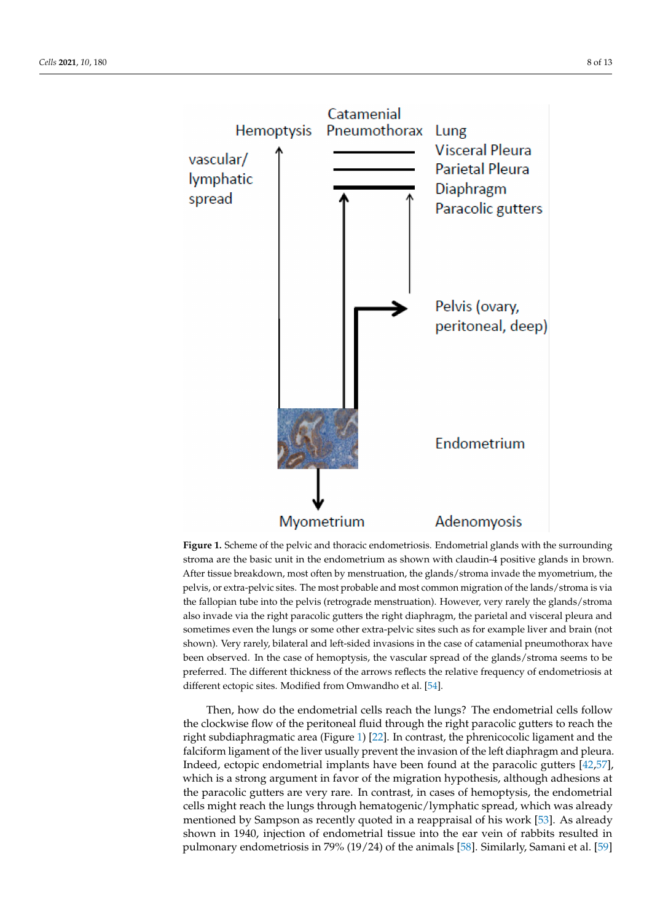<span id="page-7-0"></span>

**Figure 1.** Scheme of the pelvic and thoracic endometriosis. Endometrial glands with the surrounding stroma are the basic unit in the endometrium as shown with claudin-4 positive glands in brown. After tissue breakdown, most often by menstruation, the glands/stroma invade the myometrium, the pelvis, or extra-pelvic sites. The most probable and most common migration of the lands/stroma is via the fallopian tube into the pelvis (retrograde menstruation). However, very rarely the glands/stroma also invade via the right paracolic gutters the right diaphragm, the parietal and visceral pleura and sometimes even the lungs or some other extra-pelvic sites such as for example liver and brain (not shown). Very rarely, bilateral and left-sided invasions in the case of catamenial pneumothorax have been observed. In the case of hemoptysis, the vascular spread of the glands/stroma seems to be preferred. The different thickness of the arrows reflects the relative frequency of endometriosis at different ectopic sites. Modified from Omwandho et al. [\[54\]](#page-10-26).

Then, how do the endometrial cells reach the lungs? The endometrial cells follow the clockwise flow of the peritoneal fluid through the right paracolic gutters to reach the right subdiaphragmatic area (Figure [1\)](#page-7-0) [\[22\]](#page-9-21). In contrast, the phrenicocolic ligament and the falciform ligament of the liver usually prevent the invasion of the left diaphragm and pleura. Indeed, ectopic endometrial implants have been found at the paracolic gutters [\[42,](#page-10-14)[57\]](#page-11-0), which is a strong argument in favor of the migration hypothesis, although adhesions at the paracolic gutters are very rare. In contrast, in cases of hemoptysis, the endometrial cells might reach the lungs through hematogenic/lymphatic spread, which was already mentioned by Sampson as recently quoted in a reappraisal of his work [\[53\]](#page-10-25). As already shown in 1940, injection of endometrial tissue into the ear vein of rabbits resulted in pulmonary endometriosis in 79% (19/24) of the animals [\[58\]](#page-11-1). Similarly, Samani et al. [\[59\]](#page-11-2)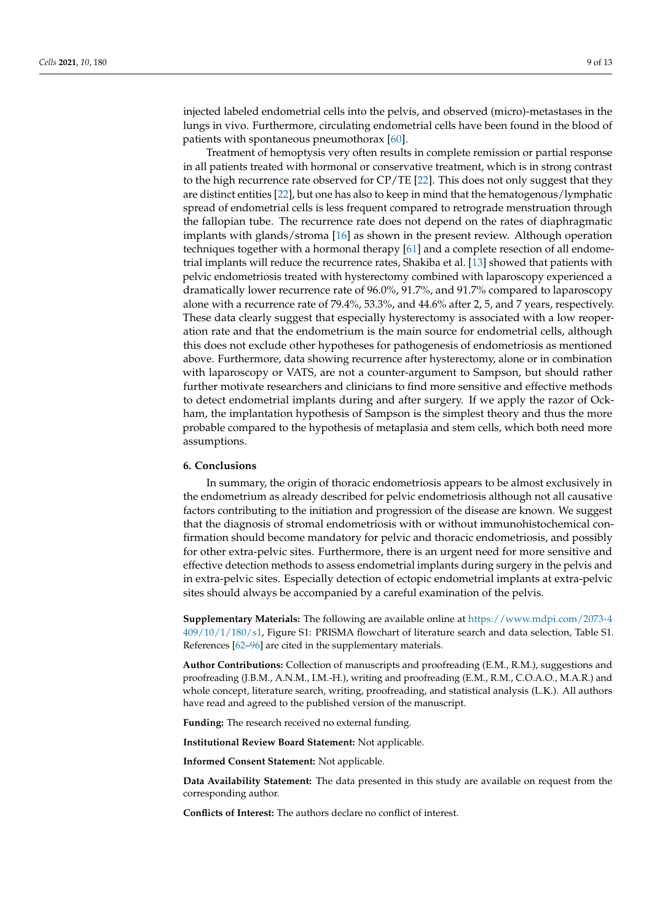injected labeled endometrial cells into the pelvis, and observed (micro)-metastases in the lungs in vivo. Furthermore, circulating endometrial cells have been found in the blood of patients with spontaneous pneumothorax  $[60]$ .

Treatment of hemoptysis very often results in complete remission or partial response in all patients treated with hormonal or conservative treatment, which is in strong contrast to the high recurrence rate observed for CP/TE [\[22\]](#page-9-21). This does not only suggest that they are distinct entities [\[22\]](#page-9-21), but one has also to keep in mind that the hematogenous/lymphatic spread of endometrial cells is less frequent compared to retrograde menstruation through the fallopian tube. The recurrence rate does not depend on the rates of diaphragmatic implants with glands/stroma [\[16\]](#page-9-15) as shown in the present review. Although operation techniques together with a hormonal therapy [\[61\]](#page-11-4) and a complete resection of all endometrial implants will reduce the recurrence rates, Shakiba et al. [\[13\]](#page-9-12) showed that patients with pelvic endometriosis treated with hysterectomy combined with laparoscopy experienced a dramatically lower recurrence rate of 96.0%, 91.7%, and 91.7% compared to laparoscopy alone with a recurrence rate of 79.4%, 53.3%, and 44.6% after 2, 5, and 7 years, respectively. These data clearly suggest that especially hysterectomy is associated with a low reoperation rate and that the endometrium is the main source for endometrial cells, although this does not exclude other hypotheses for pathogenesis of endometriosis as mentioned above. Furthermore, data showing recurrence after hysterectomy, alone or in combination with laparoscopy or VATS, are not a counter-argument to Sampson, but should rather further motivate researchers and clinicians to find more sensitive and effective methods to detect endometrial implants during and after surgery. If we apply the razor of Ockham, the implantation hypothesis of Sampson is the simplest theory and thus the more probable compared to the hypothesis of metaplasia and stem cells, which both need more assumptions.

#### **6. Conclusions**

In summary, the origin of thoracic endometriosis appears to be almost exclusively in the endometrium as already described for pelvic endometriosis although not all causative factors contributing to the initiation and progression of the disease are known. We suggest that the diagnosis of stromal endometriosis with or without immunohistochemical confirmation should become mandatory for pelvic and thoracic endometriosis, and possibly for other extra-pelvic sites. Furthermore, there is an urgent need for more sensitive and effective detection methods to assess endometrial implants during surgery in the pelvis and in extra-pelvic sites. Especially detection of ectopic endometrial implants at extra-pelvic sites should always be accompanied by a careful examination of the pelvis.

**Supplementary Materials:** The following are available online at [https://www.mdpi.com/2073-4](https://www.mdpi.com/2073-4409/10/1/180/s1) [409/10/1/180/s1,](https://www.mdpi.com/2073-4409/10/1/180/s1) Figure S1: PRISMA flowchart of literature search and data selection, Table S1. References [\[62](#page-11-5)[–96\]](#page-12-0) are cited in the supplementary materials.

**Author Contributions:** Collection of manuscripts and proofreading (E.M., R.M.), suggestions and proofreading (J.B.M., A.N.M., I.M.-H.), writing and proofreading (E.M., R.M., C.O.A.O., M.A.R.) and whole concept, literature search, writing, proofreading, and statistical analysis (L.K.). All authors have read and agreed to the published version of the manuscript.

**Funding:** The research received no external funding.

**Institutional Review Board Statement:** Not applicable.

**Informed Consent Statement:** Not applicable.

**Data Availability Statement:** The data presented in this study are available on request from the corresponding author.

**Conflicts of Interest:** The authors declare no conflict of interest.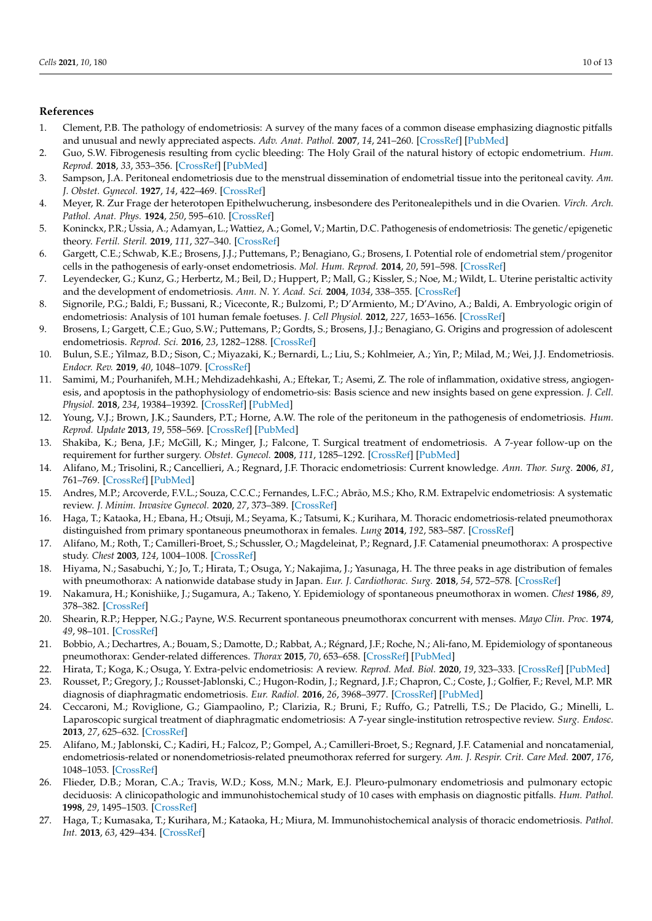## **References**

- <span id="page-9-0"></span>1. Clement, P.B. The pathology of endometriosis: A survey of the many faces of a common disease emphasizing diagnostic pitfalls and unusual and newly appreciated aspects. *Adv. Anat. Pathol.* **2007**, *14*, 241–260. [\[CrossRef\]](http://doi.org/10.1097/PAP.0b013e3180ca7d7b) [\[PubMed\]](http://www.ncbi.nlm.nih.gov/pubmed/17592255)
- <span id="page-9-1"></span>2. Guo, S.W. Fibrogenesis resulting from cyclic bleeding: The Holy Grail of the natural history of ectopic endometrium. *Hum. Reprod.* **2018**, *33*, 353–356. [\[CrossRef\]](http://doi.org/10.1093/humrep/dey015) [\[PubMed\]](http://www.ncbi.nlm.nih.gov/pubmed/29420711)
- <span id="page-9-2"></span>3. Sampson, J.A. Peritoneal endometriosis due to the menstrual dissemination of endometrial tissue into the peritoneal cavity. *Am. J. Obstet. Gynecol.* **1927**, *14*, 422–469. [\[CrossRef\]](http://doi.org/10.1016/S0002-9378(15)30003-X)
- <span id="page-9-3"></span>4. Meyer, R. Zur Frage der heterotopen Epithelwucherung, insbesondere des Peritonealepithels und in die Ovarien. *Virch. Arch. Pathol. Anat. Phys.* **1924**, *250*, 595–610. [\[CrossRef\]](http://doi.org/10.1007/BF01891397)
- <span id="page-9-4"></span>5. Koninckx, P.R.; Ussia, A.; Adamyan, L.; Wattiez, A.; Gomel, V.; Martin, D.C. Pathogenesis of endometriosis: The genetic/epigenetic theory. *Fertil. Steril.* **2019**, *111*, 327–340. [\[CrossRef\]](http://doi.org/10.1016/j.fertnstert.2018.10.013)
- <span id="page-9-5"></span>6. Gargett, C.E.; Schwab, K.E.; Brosens, J.J.; Puttemans, P.; Benagiano, G.; Brosens, I. Potential role of endometrial stem/progenitor cells in the pathogenesis of early-onset endometriosis. *Mol. Hum. Reprod.* **2014**, *20*, 591–598. [\[CrossRef\]](http://doi.org/10.1093/molehr/gau025)
- <span id="page-9-6"></span>7. Leyendecker, G.; Kunz, G.; Herbertz, M.; Beil, D.; Huppert, P.; Mall, G.; Kissler, S.; Noe, M.; Wildt, L. Uterine peristaltic activity and the development of endometriosis. *Ann. N. Y. Acad. Sci.* **2004**, *1034*, 338–355. [\[CrossRef\]](http://doi.org/10.1196/annals.1335.036)
- <span id="page-9-7"></span>8. Signorile, P.G.; Baldi, F.; Bussani, R.; Viceconte, R.; Bulzomi, P.; D'Armiento, M.; D'Avino, A.; Baldi, A. Embryologic origin of endometriosis: Analysis of 101 human female foetuses. *J. Cell Physiol.* **2012**, *227*, 1653–1656. [\[CrossRef\]](http://doi.org/10.1002/jcp.22888)
- <span id="page-9-8"></span>9. Brosens, I.; Gargett, C.E.; Guo, S.W.; Puttemans, P.; Gordts, S.; Brosens, J.J.; Benagiano, G. Origins and progression of adolescent endometriosis. *Reprod. Sci.* **2016**, *23*, 1282–1288. [\[CrossRef\]](http://doi.org/10.1177/1933719116637919)
- <span id="page-9-9"></span>10. Bulun, S.E.; Yilmaz, B.D.; Sison, C.; Miyazaki, K.; Bernardi, L.; Liu, S.; Kohlmeier, A.; Yin, P.; Milad, M.; Wei, J.J. Endometriosis. *Endocr. Rev.* **2019**, *40*, 1048–1079. [\[CrossRef\]](http://doi.org/10.1210/er.2018-00242)
- <span id="page-9-10"></span>11. Samimi, M.; Pourhanifeh, M.H.; Mehdizadehkashi, A.; Eftekar, T.; Asemi, Z. The role of inflammation, oxidative stress, angiogenesis, and apoptosis in the pathophysiology of endometrio-sis: Basis science and new insights based on gene expression. *J. Cell. Physiol.* **2018**, *234*, 19384–19392. [\[CrossRef\]](http://doi.org/10.1002/jcp.28666) [\[PubMed\]](http://www.ncbi.nlm.nih.gov/pubmed/31004368)
- <span id="page-9-11"></span>12. Young, V.J.; Brown, J.K.; Saunders, P.T.; Horne, A.W. The role of the peritoneum in the pathogenesis of endometriosis. *Hum. Reprod. Update* **2013**, *19*, 558–569. [\[CrossRef\]](http://doi.org/10.1093/humupd/dmt024) [\[PubMed\]](http://www.ncbi.nlm.nih.gov/pubmed/23720497)
- <span id="page-9-12"></span>13. Shakiba, K.; Bena, J.F.; McGill, K.; Minger, J.; Falcone, T. Surgical treatment of endometriosis. A 7-year follow-up on the requirement for further surgery. *Obstet. Gynecol.* **2008**, *111*, 1285–1292. [\[CrossRef\]](http://doi.org/10.1097/AOG.0b013e3181758ec6) [\[PubMed\]](http://www.ncbi.nlm.nih.gov/pubmed/18515510)
- <span id="page-9-13"></span>14. Alifano, M.; Trisolini, R.; Cancellieri, A.; Regnard, J.F. Thoracic endometriosis: Current knowledge. *Ann. Thor. Surg.* **2006**, *81*, 761–769. [\[CrossRef\]](http://doi.org/10.1016/j.athoracsur.2005.07.044) [\[PubMed\]](http://www.ncbi.nlm.nih.gov/pubmed/16427904)
- <span id="page-9-14"></span>15. Andres, M.P.; Arcoverde, F.V.L.; Souza, C.C.C.; Fernandes, L.F.C.; Abrão, M.S.; Kho, R.M. Extrapelvic endometriosis: A systematic review. *J. Minim. Invasive Gynecol.* **2020**, *27*, 373–389. [\[CrossRef\]](http://doi.org/10.1016/j.jmig.2019.10.004)
- <span id="page-9-15"></span>16. Haga, T.; Kataoka, H.; Ebana, H.; Otsuji, M.; Seyama, K.; Tatsumi, K.; Kurihara, M. Thoracic endometriosis-related pneumothorax distinguished from primary spontaneous pneumothorax in females. *Lung* **2014**, *192*, 583–587. [\[CrossRef\]](http://doi.org/10.1007/s00408-014-9598-1)
- <span id="page-9-16"></span>17. Alifano, M.; Roth, T.; Camilleri-Broet, S.; Schussler, O.; Magdeleinat, P.; Regnard, J.F. Catamenial pneumothorax: A prospective study. *Chest* **2003**, *124*, 1004–1008. [\[CrossRef\]](http://doi.org/10.1378/chest.124.3.1004)
- <span id="page-9-17"></span>18. Hiyama, N.; Sasabuchi, Y.; Jo, T.; Hirata, T.; Osuga, Y.; Nakajima, J.; Yasunaga, H. The three peaks in age distribution of females with pneumothorax: A nationwide database study in Japan. *Eur. J. Cardiothorac. Surg.* **2018**, *54*, 572–578. [\[CrossRef\]](http://doi.org/10.1093/ejcts/ezy081)
- <span id="page-9-18"></span>19. Nakamura, H.; Konishiike, J.; Sugamura, A.; Takeno, Y. Epidemiology of spontaneous pneumothorax in women. *Chest* **1986**, *89*, 378–382. [\[CrossRef\]](http://doi.org/10.1378/chest.89.3.378)
- <span id="page-9-19"></span>20. Shearin, R.P.; Hepper, N.G.; Payne, W.S. Recurrent spontaneous pneumothorax concurrent with menses. *Mayo Clin. Proc.* **1974**, *49*, 98–101. [\[CrossRef\]](http://doi.org/10.1097/00006254-197501000-00015)
- <span id="page-9-20"></span>21. Bobbio, A.; Dechartres, A.; Bouam, S.; Damotte, D.; Rabbat, A.; Régnard, J.F.; Roche, N.; Ali-fano, M. Epidemiology of spontaneous pneumothorax: Gender-related differences. *Thorax* **2015**, *70*, 653–658. [\[CrossRef\]](http://doi.org/10.1136/thoraxjnl-2014-206577) [\[PubMed\]](http://www.ncbi.nlm.nih.gov/pubmed/25918121)
- <span id="page-9-21"></span>22. Hirata, T.; Koga, K.; Osuga, Y. Extra-pelvic endometriosis: A review. *Reprod. Med. Biol.* **2020**, *19*, 323–333. [\[CrossRef\]](http://doi.org/10.1002/rmb2.12340) [\[PubMed\]](http://www.ncbi.nlm.nih.gov/pubmed/33071634)
- <span id="page-9-22"></span>23. Rousset, P.; Gregory, J.; Rousset-Jablonski, C.; Hugon-Rodin, J.; Regnard, J.F.; Chapron, C.; Coste, J.; Golfier, F.; Revel, M.P. MR diagnosis of diaphragmatic endometriosis. *Eur. Radiol.* **2016**, *26*, 3968–3977. [\[CrossRef\]](http://doi.org/10.1007/s00330-016-4226-5) [\[PubMed\]](http://www.ncbi.nlm.nih.gov/pubmed/26868500)
- <span id="page-9-23"></span>24. Ceccaroni, M.; Roviglione, G.; Giampaolino, P.; Clarizia, R.; Bruni, F.; Ruffo, G.; Patrelli, T.S.; De Placido, G.; Minelli, L. Laparoscopic surgical treatment of diaphragmatic endometriosis: A 7-year single-institution retrospective review. *Surg. Endosc.* **2013**, *27*, 625–632. [\[CrossRef\]](http://doi.org/10.1007/s00464-012-2505-z)
- <span id="page-9-24"></span>25. Alifano, M.; Jablonski, C.; Kadiri, H.; Falcoz, P.; Gompel, A.; Camilleri-Broet, S.; Regnard, J.F. Catamenial and noncatamenial, endometriosis-related or nonendometriosis-related pneumothorax referred for surgery. *Am. J. Respir. Crit. Care Med.* **2007**, *176*, 1048–1053. [\[CrossRef\]](http://doi.org/10.1164/rccm.200704-587OC)
- <span id="page-9-25"></span>26. Flieder, D.B.; Moran, C.A.; Travis, W.D.; Koss, M.N.; Mark, E.J. Pleuro-pulmonary endometriosis and pulmonary ectopic deciduosis: A clinicopathologic and immunohistochemical study of 10 cases with emphasis on diagnostic pitfalls. *Hum. Pathol.* **1998**, *29*, 1495–1503. [\[CrossRef\]](http://doi.org/10.1016/S0046-8177(98)90021-1)
- <span id="page-9-26"></span>27. Haga, T.; Kumasaka, T.; Kurihara, M.; Kataoka, H.; Miura, M. Immunohistochemical analysis of thoracic endometriosis. *Pathol. Int.* **2013**, *63*, 429–434. [\[CrossRef\]](http://doi.org/10.1111/pin.12089)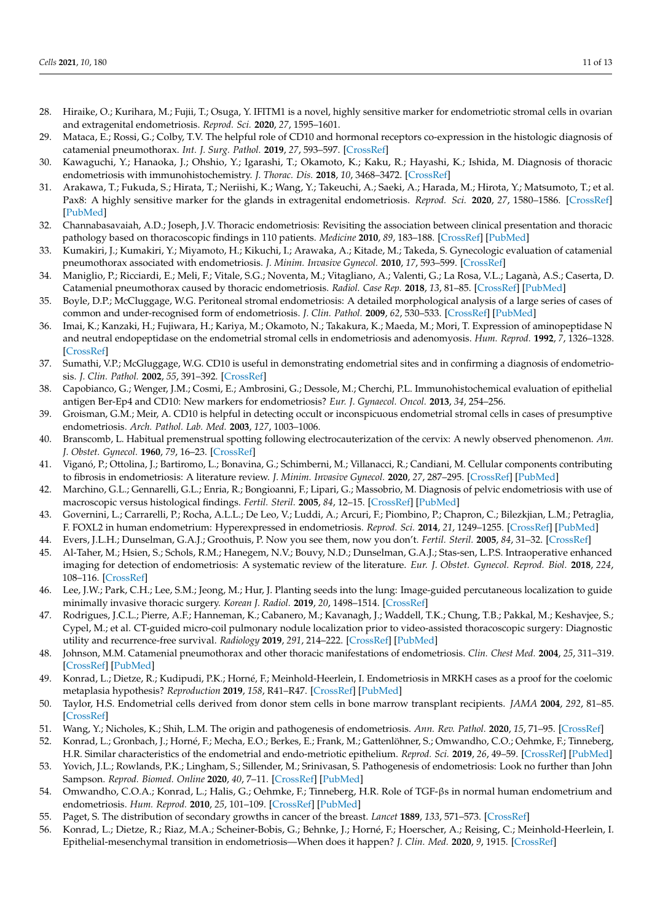- <span id="page-10-0"></span>28. Hiraike, O.; Kurihara, M.; Fujii, T.; Osuga, Y. IFITM1 is a novel, highly sensitive marker for endometriotic stromal cells in ovarian and extragenital endometriosis. *Reprod. Sci.* **2020**, *27*, 1595–1601.
- <span id="page-10-1"></span>29. Mataca, E.; Rossi, G.; Colby, T.V. The helpful role of CD10 and hormonal receptors co-expression in the histologic diagnosis of catamenial pneumothorax. *Int. J. Surg. Pathol.* **2019**, *27*, 593–597. [\[CrossRef\]](http://doi.org/10.1177/1066896919846386)
- <span id="page-10-2"></span>30. Kawaguchi, Y.; Hanaoka, J.; Ohshio, Y.; Igarashi, T.; Okamoto, K.; Kaku, R.; Hayashi, K.; Ishida, M. Diagnosis of thoracic endometriosis with immunohistochemistry. *J. Thorac. Dis.* **2018**, *10*, 3468–3472. [\[CrossRef\]](http://doi.org/10.21037/jtd.2018.05.121)
- <span id="page-10-3"></span>31. Arakawa, T.; Fukuda, S.; Hirata, T.; Neriishi, K.; Wang, Y.; Takeuchi, A.; Saeki, A.; Harada, M.; Hirota, Y.; Matsumoto, T.; et al. Pax8: A highly sensitive marker for the glands in extragenital endometriosis. *Reprod. Sci.* **2020**, *27*, 1580–1586. [\[CrossRef\]](http://doi.org/10.1007/s43032-020-00186-7) [\[PubMed\]](http://www.ncbi.nlm.nih.gov/pubmed/32430717)
- <span id="page-10-4"></span>32. Channabasavaiah, A.D.; Joseph, J.V. Thoracic endometriosis: Revisiting the association between clinical presentation and thoracic pathology based on thoracoscopic findings in 110 patients. *Medicine* **2010**, *89*, 183–188. [\[CrossRef\]](http://doi.org/10.1097/MD.0b013e3181df67d5) [\[PubMed\]](http://www.ncbi.nlm.nih.gov/pubmed/20453605)
- <span id="page-10-5"></span>33. Kumakiri, J.; Kumakiri, Y.; Miyamoto, H.; Kikuchi, I.; Arawaka, A.; Kitade, M.; Takeda, S. Gynecologic evaluation of catamenial pneumothorax associated with endometriosis. *J. Minim. Invasive Gynecol.* **2010**, *17*, 593–599. [\[CrossRef\]](http://doi.org/10.1016/j.jmig.2010.04.011)
- <span id="page-10-6"></span>34. Maniglio, P.; Ricciardi, E.; Meli, F.; Vitale, S.G.; Noventa, M.; Vitagliano, A.; Valenti, G.; La Rosa, V.L.; Laganà, A.S.; Caserta, D. Catamenial pneumothorax caused by thoracic endometriosis. *Radiol. Case Rep.* **2018**, *13*, 81–85. [\[CrossRef\]](http://doi.org/10.1016/j.radcr.2017.09.003) [\[PubMed\]](http://www.ncbi.nlm.nih.gov/pubmed/29552245)
- <span id="page-10-7"></span>35. Boyle, D.P.; McCluggage, W.G. Peritoneal stromal endometriosis: A detailed morphological analysis of a large series of cases of common and under-recognised form of endometriosis. *J. Clin. Pathol.* **2009**, *62*, 530–533. [\[CrossRef\]](http://doi.org/10.1136/jcp.2008.064261) [\[PubMed\]](http://www.ncbi.nlm.nih.gov/pubmed/19155237)
- <span id="page-10-8"></span>36. Imai, K.; Kanzaki, H.; Fujiwara, H.; Kariya, M.; Okamoto, N.; Takakura, K.; Maeda, M.; Mori, T. Expression of aminopeptidase N and neutral endopeptidase on the endometrial stromal cells in endometriosis and adenomyosis. *Hum. Reprod.* **1992**, *7*, 1326–1328. [\[CrossRef\]](http://doi.org/10.1093/oxfordjournals.humrep.a137849)
- <span id="page-10-9"></span>37. Sumathi, V.P.; McGluggage, W.G. CD10 is useful in demonstrating endometrial sites and in confirming a diagnosis of endometriosis. *J. Clin. Pathol.* **2002**, *55*, 391–392. [\[CrossRef\]](http://doi.org/10.1136/jcp.55.5.391)
- <span id="page-10-10"></span>38. Capobianco, G.; Wenger, J.M.; Cosmi, E.; Ambrosini, G.; Dessole, M.; Cherchi, P.L. Immunohistochemical evaluation of epithelial antigen Ber-Ep4 and CD10: New markers for endometriosis? *Eur. J. Gynaecol. Oncol.* **2013**, *34*, 254–256.
- <span id="page-10-11"></span>39. Groisman, G.M.; Meir, A. CD10 is helpful in detecting occult or inconspicuous endometrial stromal cells in cases of presumptive endometriosis. *Arch. Pathol. Lab. Med.* **2003**, *127*, 1003–1006.
- <span id="page-10-12"></span>40. Branscomb, L. Habitual premenstrual spotting following electrocauterization of the cervix: A newly observed phenomenon. *Am. J. Obstet. Gynecol.* **1960**, *79*, 16–23. [\[CrossRef\]](http://doi.org/10.1016/0002-9378(60)90357-4)
- <span id="page-10-13"></span>41. Viganó, P.; Ottolina, J.; Bartiromo, L.; Bonavina, G.; Schimberni, M.; Villanacci, R.; Candiani, M. Cellular components contributing to fibrosis in endometriosis: A literature review. *J. Minim. Invasive Gynecol.* **2020**, *27*, 287–295. [\[CrossRef\]](http://doi.org/10.1016/j.jmig.2019.11.011) [\[PubMed\]](http://www.ncbi.nlm.nih.gov/pubmed/31785417)
- <span id="page-10-14"></span>42. Marchino, G.L.; Gennarelli, G.L.; Enria, R.; Bongioanni, F.; Lipari, G.; Massobrio, M. Diagnosis of pelvic endometriosis with use of macroscopic versus histological findings. *Fertil. Steril.* **2005**, *84*, 12–15. [\[CrossRef\]](http://doi.org/10.1016/j.fertnstert.2004.09.042) [\[PubMed\]](http://www.ncbi.nlm.nih.gov/pubmed/16009147)
- <span id="page-10-15"></span>43. Governini, L.; Carrarelli, P.; Rocha, A.L.L.; De Leo, V.; Luddi, A.; Arcuri, F.; Piombino, P.; Chapron, C.; Bilezkjian, L.M.; Petraglia, F. FOXL2 in human endometrium: Hyperexpressed in endometriosis. *Reprod. Sci.* **2014**, *21*, 1249–1255. [\[CrossRef\]](http://doi.org/10.1177/1933719114522549) [\[PubMed\]](http://www.ncbi.nlm.nih.gov/pubmed/24520083)
- <span id="page-10-16"></span>44. Evers, J.L.H.; Dunselman, G.A.J.; Groothuis, P. Now you see them, now you don't. *Fertil. Steril.* **2005**, *84*, 31–32. [\[CrossRef\]](http://doi.org/10.1016/j.fertnstert.2005.01.122)
- <span id="page-10-17"></span>45. Al-Taher, M.; Hsien, S.; Schols, R.M.; Hanegem, N.V.; Bouvy, N.D.; Dunselman, G.A.J.; Stas-sen, L.P.S. Intraoperative enhanced imaging for detection of endometriosis: A systematic review of the literature. *Eur. J. Obstet. Gynecol. Reprod. Biol.* **2018**, *224*, 108–116. [\[CrossRef\]](http://doi.org/10.1016/j.ejogrb.2018.03.020)
- <span id="page-10-18"></span>46. Lee, J.W.; Park, C.H.; Lee, S.M.; Jeong, M.; Hur, J. Planting seeds into the lung: Image-guided percutaneous localization to guide minimally invasive thoracic surgery. *Korean J. Radiol.* **2019**, *20*, 1498–1514. [\[CrossRef\]](http://doi.org/10.3348/kjr.2019.0155)
- <span id="page-10-19"></span>47. Rodrigues, J.C.L.; Pierre, A.F.; Hanneman, K.; Cabanero, M.; Kavanagh, J.; Waddell, T.K.; Chung, T.B.; Pakkal, M.; Keshavjee, S.; Cypel, M.; et al. CT-guided micro-coil pulmonary nodule localization prior to video-assisted thoracoscopic surgery: Diagnostic utility and recurrence-free survival. *Radiology* **2019**, *291*, 214–222. [\[CrossRef\]](http://doi.org/10.1148/radiol.2019181674) [\[PubMed\]](http://www.ncbi.nlm.nih.gov/pubmed/30720402)
- <span id="page-10-20"></span>48. Johnson, M.M. Catamenial pneumothorax and other thoracic manifestations of endometriosis. *Clin. Chest Med.* **2004**, *25*, 311–319. [\[CrossRef\]](http://doi.org/10.1016/j.ccm.2004.01.005) [\[PubMed\]](http://www.ncbi.nlm.nih.gov/pubmed/15099891)
- <span id="page-10-21"></span>49. Konrad, L.; Dietze, R.; Kudipudi, P.K.; Horné, F.; Meinhold-Heerlein, I. Endometriosis in MRKH cases as a proof for the coelomic metaplasia hypothesis? *Reproduction* **2019**, *158*, R41–R47. [\[CrossRef\]](http://doi.org/10.1530/REP-19-0106) [\[PubMed\]](http://www.ncbi.nlm.nih.gov/pubmed/30978694)
- <span id="page-10-22"></span>50. Taylor, H.S. Endometrial cells derived from donor stem cells in bone marrow transplant recipients. *JAMA* **2004**, *292*, 81–85. [\[CrossRef\]](http://doi.org/10.1001/jama.292.1.81)
- <span id="page-10-23"></span>51. Wang, Y.; Nicholes, K.; Shih, L.M. The origin and pathogenesis of endometriosis. *Ann. Rev. Pathol.* **2020**, *15*, 71–95. [\[CrossRef\]](http://doi.org/10.1146/annurev-pathmechdis-012419-032654)
- <span id="page-10-24"></span>52. Konrad, L.; Gronbach, J.; Horné, F.; Mecha, E.O.; Berkes, E.; Frank, M.; Gattenlöhner, S.; Omwandho, C.O.; Oehmke, F.; Tinneberg, H.R. Similar characteristics of the endometrial and endo-metriotic epithelium. *Reprod. Sci.* **2019**, *26*, 49–59. [\[CrossRef\]](http://doi.org/10.1177/1933719118756745) [\[PubMed\]](http://www.ncbi.nlm.nih.gov/pubmed/29402201)
- <span id="page-10-25"></span>53. Yovich, J.L.; Rowlands, P.K.; Lingham, S.; Sillender, M.; Srinivasan, S. Pathogenesis of endometriosis: Look no further than John Sampson. *Reprod. Biomed. Online* **2020**, *40*, 7–11. [\[CrossRef\]](http://doi.org/10.1016/j.rbmo.2019.10.007) [\[PubMed\]](http://www.ncbi.nlm.nih.gov/pubmed/31836436)
- <span id="page-10-26"></span>54. Omwandho, C.O.A.; Konrad, L.; Halis, G.; Oehmke, F.; Tinneberg, H.R. Role of TGF-βs in normal human endometrium and endometriosis. *Hum. Reprod.* **2010**, *25*, 101–109. [\[CrossRef\]](http://doi.org/10.1093/humrep/dep382) [\[PubMed\]](http://www.ncbi.nlm.nih.gov/pubmed/19892717)
- <span id="page-10-27"></span>55. Paget, S. The distribution of secondary growths in cancer of the breast. *Lancet* **1889**, *133*, 571–573. [\[CrossRef\]](http://doi.org/10.1016/S0140-6736(00)49915-0)
- <span id="page-10-28"></span>56. Konrad, L.; Dietze, R.; Riaz, M.A.; Scheiner-Bobis, G.; Behnke, J.; Horné, F.; Hoerscher, A.; Reising, C.; Meinhold-Heerlein, I. Epithelial-mesenchymal transition in endometriosis—When does it happen? *J. Clin. Med.* **2020**, *9*, 1915. [\[CrossRef\]](http://doi.org/10.3390/jcm9061915)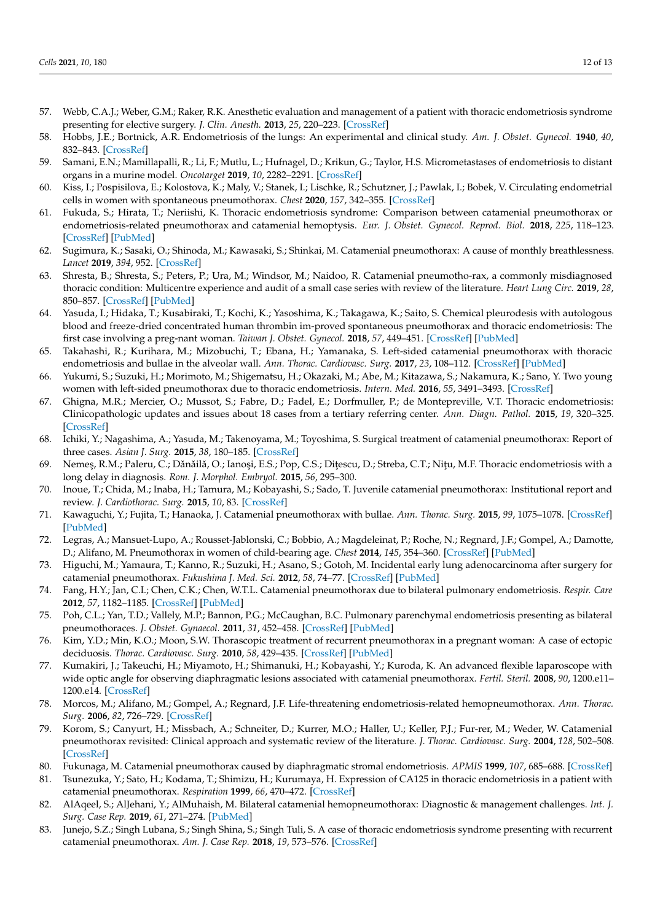- <span id="page-11-0"></span>57. Webb, C.A.J.; Weber, G.M.; Raker, R.K. Anesthetic evaluation and management of a patient with thoracic endometriosis syndrome presenting for elective surgery. *J. Clin. Anesth.* **2013**, *25*, 220–223. [\[CrossRef\]](http://doi.org/10.1016/j.jclinane.2012.10.011)
- <span id="page-11-1"></span>58. Hobbs, J.E.; Bortnick, A.R. Endometriosis of the lungs: An experimental and clinical study. *Am. J. Obstet. Gynecol.* **1940**, *40*, 832–843. [\[CrossRef\]](http://doi.org/10.1016/S0002-9378(15)30807-3)
- <span id="page-11-2"></span>59. Samani, E.N.; Mamillapalli, R.; Li, F.; Mutlu, L.; Hufnagel, D.; Krikun, G.; Taylor, H.S. Micrometastases of endometriosis to distant organs in a murine model. *Oncotarget* **2019**, *10*, 2282–2291. [\[CrossRef\]](http://doi.org/10.18632/oncotarget.16889)
- <span id="page-11-3"></span>60. Kiss, I.; Pospisilova, E.; Kolostova, K.; Maly, V.; Stanek, I.; Lischke, R.; Schutzner, J.; Pawlak, I.; Bobek, V. Circulating endometrial cells in women with spontaneous pneumothorax. *Chest* **2020**, *157*, 342–355. [\[CrossRef\]](http://doi.org/10.1016/j.chest.2019.09.008)
- <span id="page-11-4"></span>61. Fukuda, S.; Hirata, T.; Neriishi, K. Thoracic endometriosis syndrome: Comparison between catamenial pneumothorax or endometriosis-related pneumothorax and catamenial hemoptysis. *Eur. J. Obstet. Gynecol. Reprod. Biol.* **2018**, *225*, 118–123. [\[CrossRef\]](http://doi.org/10.1016/j.ejogrb.2018.04.021) [\[PubMed\]](http://www.ncbi.nlm.nih.gov/pubmed/29704815)
- <span id="page-11-5"></span>62. Sugimura, K.; Sasaki, O.; Shinoda, M.; Kawasaki, S.; Shinkai, M. Catamenial pneumothorax: A cause of monthly breathlessness. *Lancet* **2019**, *394*, 952. [\[CrossRef\]](http://doi.org/10.1016/S0140-6736(19)32094-X)
- 63. Shresta, B.; Shresta, S.; Peters, P.; Ura, M.; Windsor, M.; Naidoo, R. Catamenial pneumotho-rax, a commonly misdiagnosed thoracic condition: Multicentre experience and audit of a small case series with review of the literature. *Heart Lung Circ.* **2019**, *28*, 850–857. [\[CrossRef\]](http://doi.org/10.1016/j.hlc.2019.01.012) [\[PubMed\]](http://www.ncbi.nlm.nih.gov/pubmed/30853525)
- 64. Yasuda, I.; Hidaka, T.; Kusabiraki, T.; Kochi, K.; Yasoshima, K.; Takagawa, K.; Saito, S. Chemical pleurodesis with autologous blood and freeze-dried concentrated human thrombin im-proved spontaneous pneumothorax and thoracic endometriosis: The first case involving a preg-nant woman. *Taiwan J. Obstet. Gynecol.* **2018**, *57*, 449–451. [\[CrossRef\]](http://doi.org/10.1016/j.tjog.2018.04.022) [\[PubMed\]](http://www.ncbi.nlm.nih.gov/pubmed/29880183)
- 65. Takahashi, R.; Kurihara, M.; Mizobuchi, T.; Ebana, H.; Yamanaka, S. Left-sided catamenial pneumothorax with thoracic endometriosis and bullae in the alveolar wall. *Ann. Thorac. Cardiovasc. Surg.* **2017**, *23*, 108–112. [\[CrossRef\]](http://doi.org/10.5761/atcs.cr.16-00112) [\[PubMed\]](http://www.ncbi.nlm.nih.gov/pubmed/27507105)
- 66. Yukumi, S.; Suzuki, H.; Morimoto, M.; Shigematsu, H.; Okazaki, M.; Abe, M.; Kitazawa, S.; Nakamura, K.; Sano, Y. Two young women with left-sided pneumothorax due to thoracic endometriosis. *Intern. Med.* **2016**, *55*, 3491–3493. [\[CrossRef\]](http://doi.org/10.2169/internalmedicine.55.7187)
- 67. Ghigna, M.R.; Mercier, O.; Mussot, S.; Fabre, D.; Fadel, E.; Dorfmuller, P.; de Montepreville, V.T. Thoracic endometriosis: Clinicopathologic updates and issues about 18 cases from a tertiary referring center. *Ann. Diagn. Pathol.* **2015**, *19*, 320–325. [\[CrossRef\]](http://doi.org/10.1016/j.anndiagpath.2015.07.001)
- 68. Ichiki, Y.; Nagashima, A.; Yasuda, M.; Takenoyama, M.; Toyoshima, S. Surgical treatment of catamenial pneumothorax: Report of three cases. *Asian J. Surg.* **2015**, *38*, 180–185. [\[CrossRef\]](http://doi.org/10.1016/j.asjsur.2013.09.014)
- 69. Nemeş, R.M.; Paleru, C.; Dănăilă, O.; Ianoși, E.S.; Pop, C.S.; Dițescu, D.; Streba, C.T.; Nițu, M.F. Thoracic endometriosis with a long delay in diagnosis. *Rom. J. Morphol. Embryol.* **2015**, *56*, 295–300.
- 70. Inoue, T.; Chida, M.; Inaba, H.; Tamura, M.; Kobayashi, S.; Sado, T. Juvenile catamenial pneumothorax: Institutional report and review. *J. Cardiothorac. Surg.* **2015**, *10*, 83. [\[CrossRef\]](http://doi.org/10.1186/s13019-015-0289-7)
- 71. Kawaguchi, Y.; Fujita, T.; Hanaoka, J. Catamenial pneumothorax with bullae. *Ann. Thorac. Surg.* **2015**, *99*, 1075–1078. [\[CrossRef\]](http://doi.org/10.1016/j.athoracsur.2014.05.056) [\[PubMed\]](http://www.ncbi.nlm.nih.gov/pubmed/25742837)
- 72. Legras, A.; Mansuet-Lupo, A.; Rousset-Jablonski, C.; Bobbio, A.; Magdeleinat, P.; Roche, N.; Regnard, J.F.; Gompel, A.; Damotte, D.; Alifano, M. Pneumothorax in women of child-bearing age. *Chest* **2014**, *145*, 354–360. [\[CrossRef\]](http://doi.org/10.1378/chest.13-1284) [\[PubMed\]](http://www.ncbi.nlm.nih.gov/pubmed/24091546)
- 73. Higuchi, M.; Yamaura, T.; Kanno, R.; Suzuki, H.; Asano, S.; Gotoh, M. Incidental early lung adenocarcinoma after surgery for catamenial pneumothorax. *Fukushima J. Med. Sci.* **2012**, *58*, 74–77. [\[CrossRef\]](http://doi.org/10.5387/fms.58.74) [\[PubMed\]](http://www.ncbi.nlm.nih.gov/pubmed/22790895)
- 74. Fang, H.Y.; Jan, C.I.; Chen, C.K.; Chen, W.T.L. Catamenial pneumothorax due to bilateral pulmonary endometriosis. *Respir. Care* **2012**, *57*, 1182–1185. [\[CrossRef\]](http://doi.org/10.4187/respcare.01256) [\[PubMed\]](http://www.ncbi.nlm.nih.gov/pubmed/22273501)
- 75. Poh, C.L.; Yan, T.D.; Vallely, M.P.; Bannon, P.G.; McCaughan, B.C. Pulmonary parenchymal endometriosis presenting as bilateral pneumothoraces. *J. Obstet. Gynaecol.* **2011**, *31*, 452–458. [\[CrossRef\]](http://doi.org/10.3109/01443615.2011.573108) [\[PubMed\]](http://www.ncbi.nlm.nih.gov/pubmed/21627438)
- 76. Kim, Y.D.; Min, K.O.; Moon, S.W. Thorascopic treatment of recurrent pneumothorax in a pregnant woman: A case of ectopic deciduosis. *Thorac. Cardiovasc. Surg.* **2010**, *58*, 429–435. [\[CrossRef\]](http://doi.org/10.1055/s-0029-1240848) [\[PubMed\]](http://www.ncbi.nlm.nih.gov/pubmed/20922628)
- 77. Kumakiri, J.; Takeuchi, H.; Miyamoto, H.; Shimanuki, H.; Kobayashi, Y.; Kuroda, K. An advanced flexible laparoscope with wide optic angle for observing diaphragmatic lesions associated with catamenial pneumothorax. *Fertil. Steril.* **2008**, *90*, 1200.e11– 1200.e14. [\[CrossRef\]](http://doi.org/10.1016/j.fertnstert.2007.09.023)
- 78. Morcos, M.; Alifano, M.; Gompel, A.; Regnard, J.F. Life-threatening endometriosis-related hemopneumothorax. *Ann. Thorac. Surg.* **2006**, *82*, 726–729. [\[CrossRef\]](http://doi.org/10.1016/j.athoracsur.2005.10.002)
- 79. Korom, S.; Canyurt, H.; Missbach, A.; Schneiter, D.; Kurrer, M.O.; Haller, U.; Keller, P.J.; Fur-rer, M.; Weder, W. Catamenial pneumothorax revisited: Clinical approach and systematic review of the literature. *J. Thorac. Cardiovasc. Surg.* **2004**, *128*, 502–508. [\[CrossRef\]](http://doi.org/10.1016/j.jtcvs.2004.04.039)
- 80. Fukunaga, M. Catamenial pneumothorax caused by diaphragmatic stromal endometriosis. *APMIS* **1999**, *107*, 685–688. [\[CrossRef\]](http://doi.org/10.1111/j.1699-0463.1999.tb01460.x)
- 81. Tsunezuka, Y.; Sato, H.; Kodama, T.; Shimizu, H.; Kurumaya, H. Expression of CA125 in thoracic endometriosis in a patient with catamenial pneumothorax. *Respiration* **1999**, *66*, 470–472. [\[CrossRef\]](http://doi.org/10.1159/000029414)
- 82. AlAqeel, S.; AlJehani, Y.; AlMuhaish, M. Bilateral catamenial hemopneumothorax: Diagnostic & management challenges. *Int. J. Surg. Case Rep.* **2019**, *61*, 271–274. [\[PubMed\]](http://www.ncbi.nlm.nih.gov/pubmed/31398668)
- 83. Junejo, S.Z.; Singh Lubana, S.; Singh Shina, S.; Singh Tuli, S. A case of thoracic endometriosis syndrome presenting with recurrent catamenial pneumothorax. *Am. J. Case Rep.* **2018**, *19*, 573–576. [\[CrossRef\]](http://doi.org/10.12659/AJCR.907964)